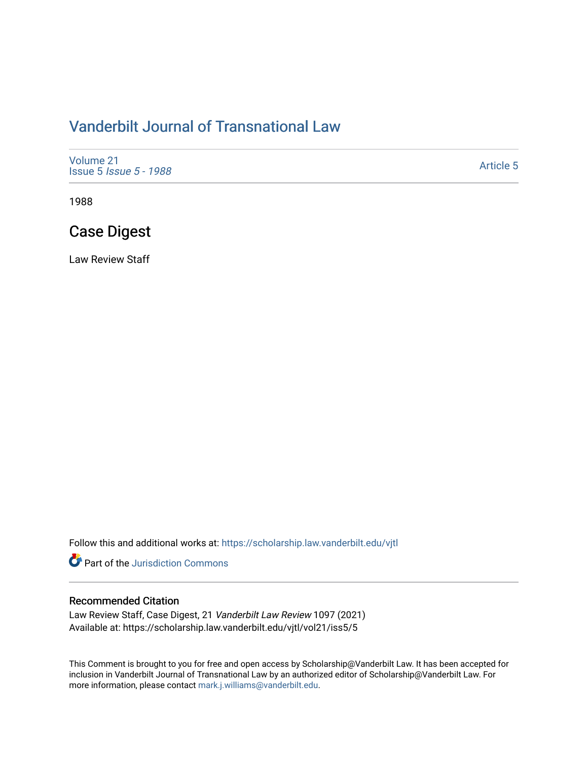# [Vanderbilt Journal of Transnational Law](https://scholarship.law.vanderbilt.edu/vjtl)

| Volume 21<br><b>Issue 5 <i>Issue 5 - 1988</i></b> | <b>Article 5</b> |
|---------------------------------------------------|------------------|
|---------------------------------------------------|------------------|

1988

# Case Digest

Law Review Staff

Follow this and additional works at: [https://scholarship.law.vanderbilt.edu/vjtl](https://scholarship.law.vanderbilt.edu/vjtl?utm_source=scholarship.law.vanderbilt.edu%2Fvjtl%2Fvol21%2Fiss5%2F5&utm_medium=PDF&utm_campaign=PDFCoverPages) 

**C** Part of the Jurisdiction Commons

### Recommended Citation

Law Review Staff, Case Digest, 21 Vanderbilt Law Review 1097 (2021) Available at: https://scholarship.law.vanderbilt.edu/vjtl/vol21/iss5/5

This Comment is brought to you for free and open access by Scholarship@Vanderbilt Law. It has been accepted for inclusion in Vanderbilt Journal of Transnational Law by an authorized editor of Scholarship@Vanderbilt Law. For more information, please contact [mark.j.williams@vanderbilt.edu](mailto:mark.j.williams@vanderbilt.edu).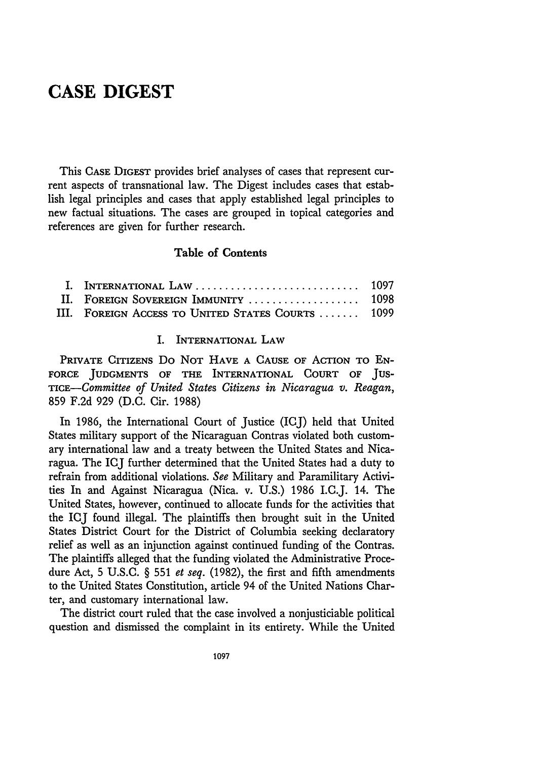## **CASE DIGEST**

This **CASE DIGEST** provides brief analyses of cases that represent current aspects of transnational law. The Digest includes cases that establish legal principles and cases that apply established legal principles to new factual situations. The cases are grouped in topical categories and references are given for further research.

### Table of Contents

| II. FOREIGN SOVEREIGN IMMUNITY  1098              |  |
|---------------------------------------------------|--|
| III. FOREIGN ACCESS TO UNITED STATES COURTS  1099 |  |

#### I. INTERNATIONAL **LAW**

PRIVATE CITIZENS Do NOT **HAVE A** CAUSE OF ACTION TO **EN-**FORCE **JUDGMENTS** OF THE INTERNATIONAL **COURT** OF **JUS-***TiCE-Committee of United States Citizens in Nicaragua v. Reagan,* 859 F.2d 929 (D.C. Cir. 1988)

In 1986, the International Court of Justice (ICJ) held that United States military support of the Nicaraguan Contras violated both customary international law and a treaty between the United States and Nicaragua. The ICJ further determined that the United States had a duty to refrain from additional violations. *See* Military and Paramilitary Activities In and Against Nicaragua (Nica. v. U.S.) 1986 I.C.J. 14. The United States, however, continued to allocate funds for the activities that the ICJ found illegal. The plaintiffs then brought suit in the United States District Court for the District of Columbia seeking declaratory relief as well as an injunction against continued funding of the Contras. The plaintiffs alleged that the funding violated the Administrative Procedure Act, 5 U.S.C. § 551 *et seq.* (1982), the first and fifth amendments to the United States Constitution, article 94 of the United Nations Charter, and customary international law.

The district court ruled that the case involved a nonjusticiable political question and dismissed the complaint in its entirety. While the United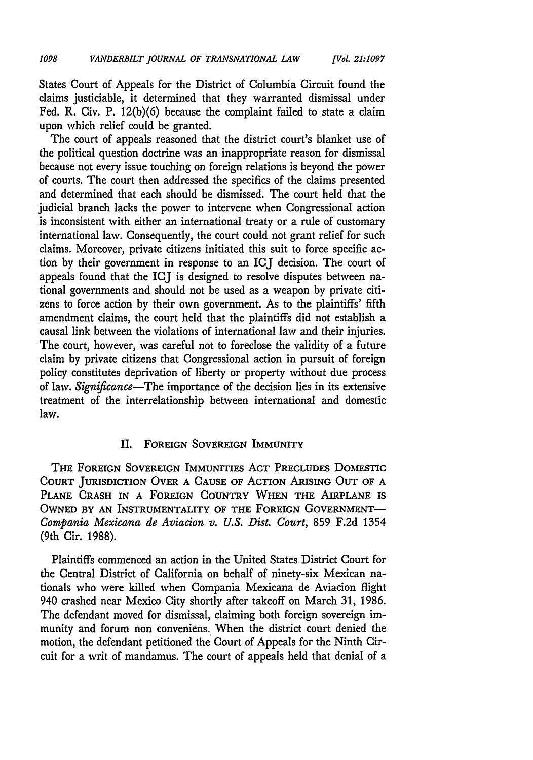States Court of Appeals for the District of Columbia Circuit found the claims justiciable, it determined that they warranted dismissal under Fed. R. Civ. P. 12(b)(6) because the complaint failed to state a claim upon which relief could be granted.

The court of appeals reasoned that the district court's blanket use of the political question doctrine was an inappropriate reason for dismissal because not every issue touching on foreign relations is beyond the power of courts. The court then addressed the specifics of the claims presented and determined that each should be dismissed. The court held that the judicial branch lacks the power to intervene when Congressional action is inconsistent with either an international treaty or a rule of customary international law. Consequently, the court could not grant relief for such claims. Moreover, private citizens initiated this suit to force specific action by their government in response to an ICJ decision. The court of appeals found that the ICJ is designed to resolve disputes between national governments and should not be used as a weapon by private citizens to force action by their own government. As to the plaintiffs' fifth amendment claims, the court held that the plaintiffs did not establish a causal link between the violations of international law and their injuries. The court, however, was careful not to foreclose the validity of a future claim by private citizens that Congressional action in pursuit of foreign policy constitutes deprivation of liberty or property without due process of law. *Significance-The* importance of the decision lies in its extensive treatment of the interrelationship between international and domestic law.

#### II. **FOREIGN SOVEREIGN IMMUNITY**

THE **FOREIGN SOVEREIGN** IMMUNITIES ACT **PRECLUDES** DOMESTIC **COURT JURISDICTION OVER A CAUSE OF ACTION ARISING OUT OF A** PLANE CRASH IN A FOREIGN COUNTRY WHEN THE AIRPLANE IS **OWNED BY AN** INSTRUMENTALITY OF **THE FOREIGN GOVERNMENT-***Compania Mexicana de Aviacion v. U.S. Dist. Court,* 859 F.2d 1354 (9th Cir. 1988).

Plaintiffs commenced an action in the United States District Court for the Central District of California on behalf of ninety-six Mexican nationals who were killed when Compania Mexicana de Aviacion flight 940 crashed near Mexico City shortly after takeoff on March 31, 1986. The defendant moved for dismissal, claiming both foreign sovereign immunity and forum non conveniens. When the district court denied the motion, the defendant petitioned the Court of Appeals for the Ninth Circuit for a writ of mandamus. The court of appeals held that denial of a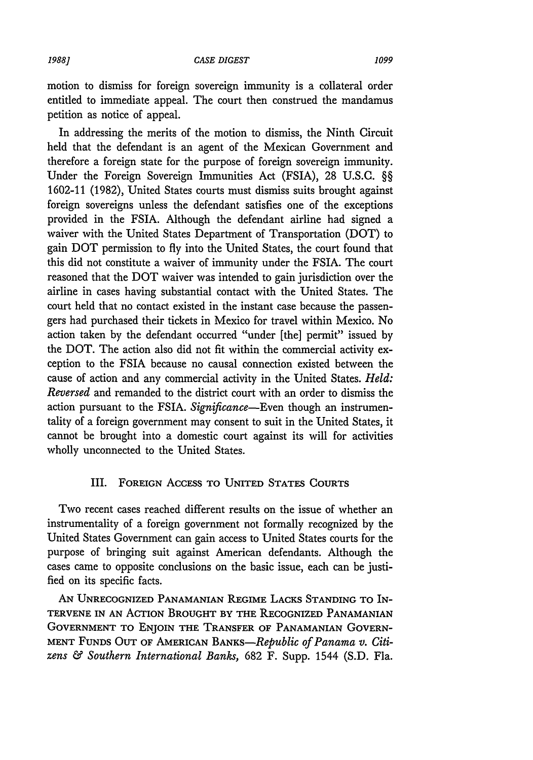#### CASE DIGEST *1988] 1099*

motion to dismiss for foreign sovereign immunity is a collateral order entitled to immediate appeal. The court then construed the mandamus petition as notice of appeal.

In addressing the merits of the motion to dismiss, the Ninth Circuit held that the defendant is an agent of the Mexican Government and therefore a foreign state for the purpose of foreign sovereign immunity. Under the Foreign Sovereign Immunities Act (FSIA), 28 U.S.C. §§ 1602-11 (1982), United States courts must dismiss suits brought against foreign sovereigns unless the defendant satisfies one of the exceptions provided in the FSIA. Although the defendant airline had signed a waiver with the United States Department of Transportation (DOT) to gain DOT permission to fly into the United States, the court found that this did not constitute a waiver of immunity under the FSIA. The court reasoned that the DOT waiver was intended to gain jurisdiction over the airline in cases having substantial contact with the United States. The court held that no contact existed in the instant case because the passengers had purchased their tickets in Mexico for travel within Mexico. No action taken by the defendant occurred "under [the] permit" issued by the DOT. The action also did not fit within the commercial activity exception to the FSIA because no causal connection existed between the cause of action and any commercial activity in the United States. *Held: Reversed* and remanded to the district court with an order to dismiss the action pursuant to the FSIA. *Significance-Even* though an instrumentality of a foreign government may consent to suit in the United States, it cannot be brought into a domestic court against its will for activities wholly unconnected to the United States.

### III. **FOREIGN** ACCESS TO UNITED **STATES COURTS**

Two recent cases reached different results on the issue of whether an instrumentality of a foreign government not formally recognized by the United States Government can gain access to United States courts for the purpose of bringing suit against American defendants. Although the cases came to opposite conclusions on the basic issue, each can be justified on its specific facts.

**AN** UNRECOGNIZED **PANAMANIAN** REGIME **LACKS STANDING** TO IN-TERVENE IN **AN** ACTION BROUGHT BY THE RECOGNIZED **PANAMANIAN GOVERNMENT** TO **ENJOIN** THE TRANSFER OF **PANAMANIAN** GOVERN-**MENT FUNDS OUT** OF AMERICAN *BANKS-Republic of Panama v. Citizens & Southern International Banks,* 682 F. Supp. 1544 (S.D. Fla.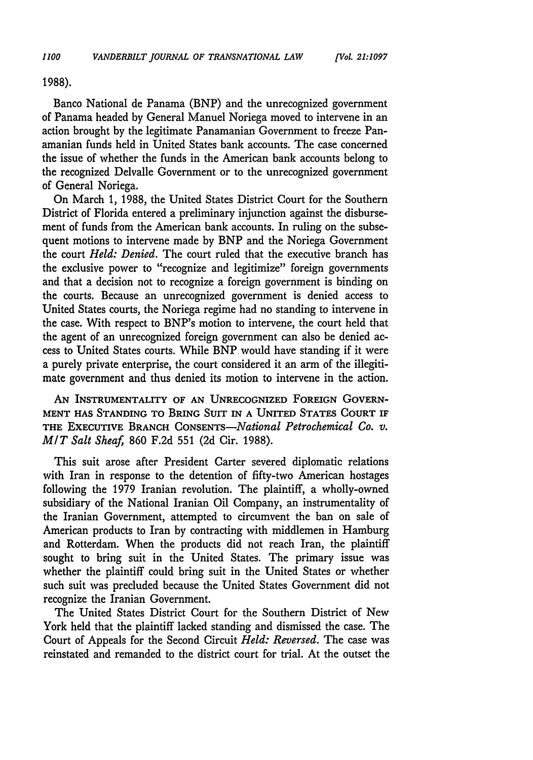**1988).**

Banco National de Panama (BNP) and the unrecognized government of Panama headed by General Manuel Noriega moved to intervene in an action brought by the legitimate Panamanian Government to freeze Panamanian funds held in United States bank accounts. The case concerned the issue of whether the funds in the American bank accounts belong to the recognized Delvalle Government or to the unrecognized government of General Noriega.

On March 1, 1988, the United States District Court for the Southern District of Florida entered a preliminary injunction against the disbursement of funds from the American bank accounts. In ruling on the subsequent motions to intervene made **by** BNP and the Noriega Government the court *Held: Denied.* The court ruled that the executive branch has the exclusive power to "recognize and legitimize" foreign governments and that a decision not to recognize a foreign government is binding on the courts. Because an unrecognized government is denied access to United States courts, the Noriega regime had no standing to intervene in the case. With respect to BNP's motion to intervene, the court held that the agent of an unrecognized foreign government can also be denied access to United States courts. While BNP would have standing if it were a purely private enterprise, the court considered it an arm of the illegitimate government and thus denied its motion to intervene in the action.

AN **INSTRUMENTALITY OF AN** UNRECOGNIZED **FOREIGN** GOVERN-**MENT HAS STANDING** TO **BRING SUIT IN A UNITED STATES COURT IF** THE **EXECUTIVE** BRANCH *CONSENTS-National Petrochemical Co. v. MIT Salt Sheaf* 860 F.2d 551 (2d Cir. 1988).

This suit arose after President Carter severed diplomatic relations with Iran in response to the detention of fifty-two American hostages following the 1979 Iranian revolution. The plaintiff, a wholly-owned subsidiary of the National Iranian Oil Company, an instrumentality of the Iranian Government, attempted to circumvent the ban on sale of American products to Iran by contracting with middlemen in Hamburg and Rotterdam. When the products did not reach Iran, the plaintiff sought to bring suit in the United States. The primary issue was whether the plaintiff could bring suit in the United States or whether such suit was precluded because the United States Government did not recognize the Iranian Government.

The United States District Court for the Southern District of New York held that the plaintiff lacked standing and dismissed the case. The Court of Appeals for the Second Circuit *Held: Reversed.* The case was reinstated and remanded to the district court for trial. At the outset the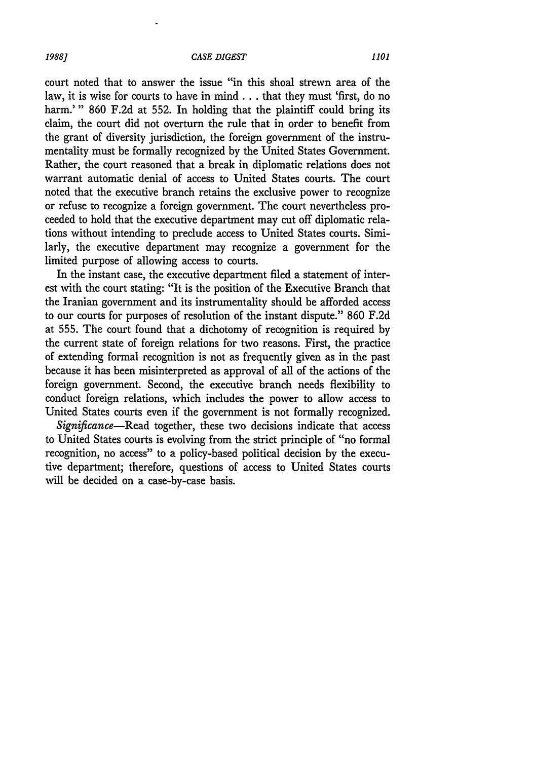court noted that to answer the issue "in this shoal strewn area of the law, it is wise for courts to have in mind... that they must 'first, do no harm.'" 860 F.2d at 552. In holding that the plaintiff could bring its claim, the court did not overturn the rule that in order to benefit from the grant of diversity jurisdiction, the foreign government of the instrumentality must be formally recognized by the United States Government. Rather, the court reasoned that a break in diplomatic relations does not warrant automatic denial of access to United States courts. The court noted that the executive branch retains the exclusive power to recognize or refuse to recognize a foreign government. The court nevertheless proceeded to hold that the executive department may cut off diplomatic relations without intending to preclude access to United States courts. Similarly, the executive department may recognize a government for the limited purpose of allowing access to courts.

In the instant case, the executive department filed a statement of interest with the court stating: "It is the position of the Executive Branch that the Iranian government and its instrumentality should be afforded access to our courts for purposes of resolution of the instant dispute." 860 F.2d at 555. The court found that a dichotomy of recognition is required **by** the current state of foreign relations for two reasons. First, the practice of extending formal recognition is not as frequently given as in the past because it has been misinterpreted as approval of all of the actions of the foreign government. Second, the executive branch needs flexibility to conduct foreign relations, which includes the power to allow access to United States courts even if the government is not formally recognized.

*Significance-Read* together, these two decisions indicate that access to United States courts is evolving from the strict principle of "no formal recognition, no access" to a policy-based political decision by the executive department; therefore, questions of access to United States courts will be decided on a case-by-case basis.

*1988]*